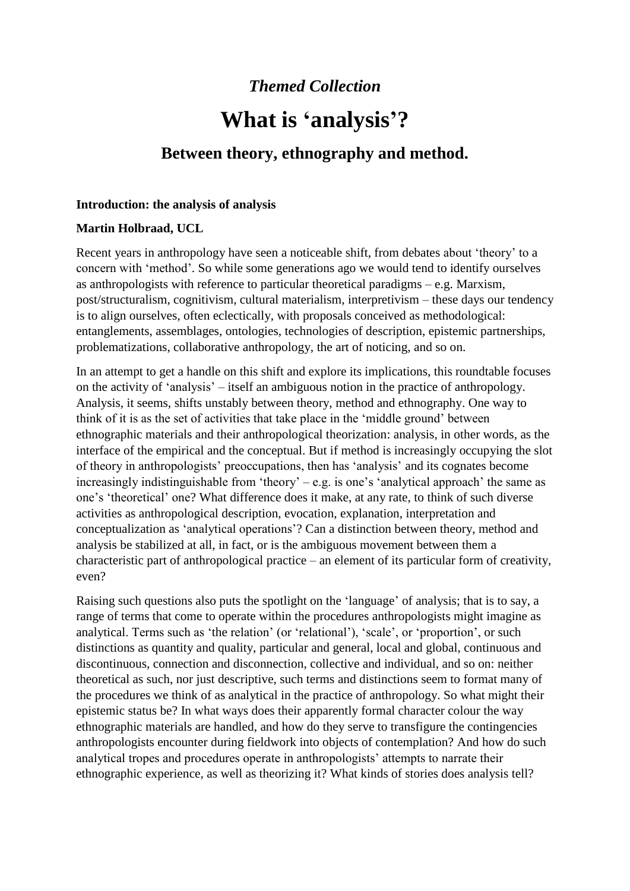## *Themed Collection*

# **What is 'analysis'?**

## **Between theory, ethnography and method.**

#### **Introduction: the analysis of analysis**

### **Martin Holbraad, UCL**

Recent years in anthropology have seen a noticeable shift, from debates about 'theory' to a concern with 'method'. So while some generations ago we would tend to identify ourselves as anthropologists with reference to particular theoretical paradigms – e.g. Marxism, post/structuralism, cognitivism, cultural materialism, interpretivism – these days our tendency is to align ourselves, often eclectically, with proposals conceived as methodological: entanglements, assemblages, ontologies, technologies of description, epistemic partnerships, problematizations, collaborative anthropology, the art of noticing, and so on.

In an attempt to get a handle on this shift and explore its implications, this roundtable focuses on the activity of 'analysis' – itself an ambiguous notion in the practice of anthropology. Analysis, it seems, shifts unstably between theory, method and ethnography. One way to think of it is as the set of activities that take place in the 'middle ground' between ethnographic materials and their anthropological theorization: analysis, in other words, as the interface of the empirical and the conceptual. But if method is increasingly occupying the slot of theory in anthropologists' preoccupations, then has 'analysis' and its cognates become increasingly indistinguishable from 'theory' – e.g. is one's 'analytical approach' the same as one's 'theoretical' one? What difference does it make, at any rate, to think of such diverse activities as anthropological description, evocation, explanation, interpretation and conceptualization as 'analytical operations'? Can a distinction between theory, method and analysis be stabilized at all, in fact, or is the ambiguous movement between them a characteristic part of anthropological practice – an element of its particular form of creativity, even?

Raising such questions also puts the spotlight on the 'language' of analysis; that is to say, a range of terms that come to operate within the procedures anthropologists might imagine as analytical. Terms such as 'the relation' (or 'relational'), 'scale', or 'proportion', or such distinctions as quantity and quality, particular and general, local and global, continuous and discontinuous, connection and disconnection, collective and individual, and so on: neither theoretical as such, nor just descriptive, such terms and distinctions seem to format many of the procedures we think of as analytical in the practice of anthropology. So what might their epistemic status be? In what ways does their apparently formal character colour the way ethnographic materials are handled, and how do they serve to transfigure the contingencies anthropologists encounter during fieldwork into objects of contemplation? And how do such analytical tropes and procedures operate in anthropologists' attempts to narrate their ethnographic experience, as well as theorizing it? What kinds of stories does analysis tell?